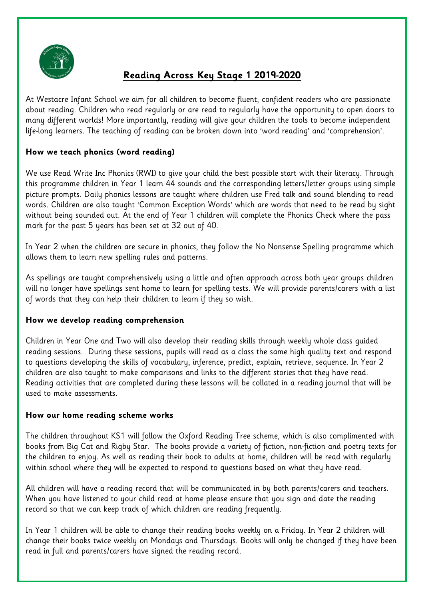

# **Reading Across Key Stage 1 2019-2020**

At Westacre Infant School we aim for all children to become fluent, confident readers who are passionate about reading. Children who read regularly or are read to regularly have the opportunity to open doors to many different worlds! More importantly, reading will give your children the tools to become independent life-long learners. The teaching of reading can be broken down into 'word reading' and 'comprehension'.

# **How we teach phonics (word reading)**

We use Read Write Inc Phonics (RWI) to give your child the best possible start with their literacy. Through this programme children in Year 1 learn 44 sounds and the corresponding letters/letter groups using simple picture prompts. Daily phonics lessons are taught where children use Fred talk and sound blending to read words. Children are also taught 'Common Exception Words' which are words that need to be read by sight without being sounded out. At the end of Year 1 children will complete the Phonics Check where the pass mark for the past 5 years has been set at 32 out of 40.

In Year 2 when the children are secure in phonics, they follow the No Nonsense Spelling programme which allows them to learn new spelling rules and patterns.

As spellings are taught comprehensively using a little and often approach across both year groups children will no longer have spellings sent home to learn for spelling tests. We will provide parents/carers with a list of words that they can help their children to learn if they so wish.

## **How we develop reading comprehension**

Children in Year One and Two will also develop their reading skills through weekly whole class guided reading sessions. During these sessions, pupils will read as a class the same high quality text and respond to questions developing the skills of vocabulary, inference, predict, explain, retrieve, sequence. In Year 2 children are also taught to make comparisons and links to the different stories that they have read. Reading activities that are completed during these lessons will be collated in a reading journal that will be used to make assessments.

## **How our home reading scheme works**

The children throughout KS1 will follow the Oxford Reading Tree scheme, which is also complimented with books from Big Cat and Rigby Star. The books provide a variety of fiction, non-fiction and poetry texts for the children to enjoy. As well as reading their book to adults at home, children will be read with regularly within school where they will be expected to respond to questions based on what they have read.

All children will have a reading record that will be communicated in by both parents/carers and teachers. When you have listened to your child read at home please ensure that you sign and date the reading record so that we can keep track of which children are reading frequently.

In Year 1 children will be able to change their reading books weekly on a Friday. In Year 2 children will change their books twice weekly on Mondays and Thursdays. Books will only be changed if they have been read in full and parents/carers have signed the reading record.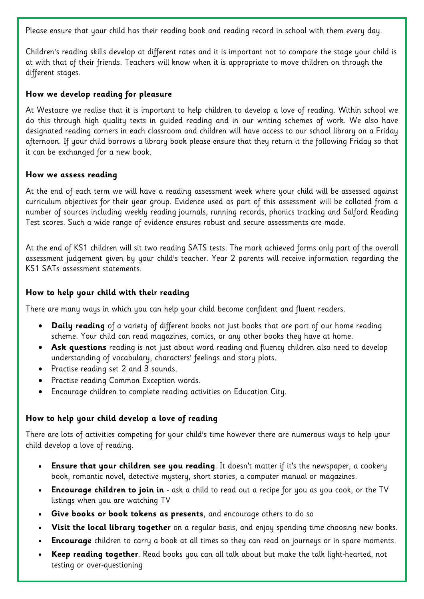Please ensure that your child has their reading book and reading record in school with them every day.

Children's reading skills develop at different rates and it is important not to compare the stage your child is at with that of their friends. Teachers will know when it is appropriate to move children on through the different stages.

## **How we develop reading for pleasure**

At Westacre we realise that it is important to help children to develop a love of reading. Within school we do this through high quality texts in guided reading and in our writing schemes of work. We also have designated reading corners in each classroom and children will have access to our school library on a Friday afternoon. If your child borrows a library book please ensure that they return it the following Friday so that it can be exchanged for a new book.

#### **How we assess reading**

At the end of each term we will have a reading assessment week where your child will be assessed against curriculum objectives for their year group. Evidence used as part of this assessment will be collated from a number of sources including weekly reading journals, running records, phonics tracking and Salford Reading Test scores. Such a wide range of evidence ensures robust and secure assessments are made.

At the end of KS1 children will sit two reading SATS tests. The mark achieved forms only part of the overall assessment judgement given by your child's teacher. Year 2 parents will receive information regarding the KS1 SATs assessment statements.

## **How to help your child with their reading**

There are many ways in which you can help your child become confident and fluent readers.

- **Daily reading** of a variety of different books not just books that are part of our home reading scheme. Your child can read magazines, comics, or any other books they have at home.
- **Ask questions** reading is not just about word reading and fluency children also need to develop understanding of vocabulary, characters' feelings and story plots.
- Practise reading set 2 and 3 sounds.
- Practise reading Common Exception words.
- Encourage children to complete reading activities on Education City.

## **How to help your child develop a love of reading**

There are lots of activities competing for your child's time however there are numerous ways to help your child develop a love of reading.

- **Ensure that your children see you reading**. It doesn't matter if it's the newspaper, a cookery book, romantic novel, detective mystery, short stories, a computer manual or magazines.
- **Encourage children to join in** ask a child to read out a recipe for you as you cook, or the TV listings when you are watching TV
- **Give books or book tokens as presents**, and encourage others to do so
- **Visit the local library together** on a regular basis, and enjoy spending time choosing new books.
- **Encourage** children to carry a book at all times so they can read on journeys or in spare moments.
- **Keep reading together**. Read books you can all talk about but make the talk light-hearted, not testing or over-questioning